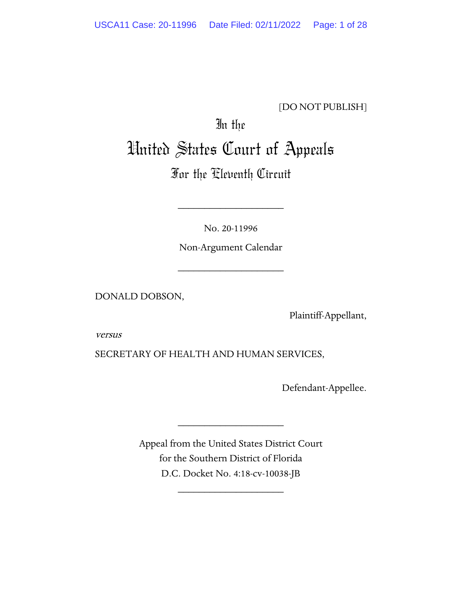#### [DO NOT PUBLISH]

# In the United States Court of Appeals

## For the Eleventh Circuit

No. 20-11996

\_\_\_\_\_\_\_\_\_\_\_\_\_\_\_\_\_\_\_\_

Non-Argument Calendar

\_\_\_\_\_\_\_\_\_\_\_\_\_\_\_\_\_\_\_\_

DONALD DOBSON,

Plaintiff-Appellant,

versus

SECRETARY OF HEALTH AND HUMAN SERVICES,

Defendant-Appellee.

Appeal from the United States District Court for the Southern District of Florida D.C. Docket No. 4:18-cv-10038-JB

\_\_\_\_\_\_\_\_\_\_\_\_\_\_\_\_\_\_\_\_

\_\_\_\_\_\_\_\_\_\_\_\_\_\_\_\_\_\_\_\_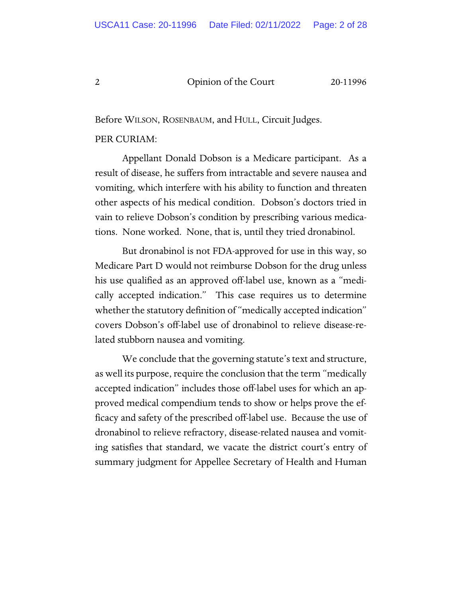Before WILSON, ROSENBAUM, and HULL, Circuit Judges.

#### PER CURIAM:

Appellant Donald Dobson is a Medicare participant. As a result of disease, he suffers from intractable and severe nausea and vomiting, which interfere with his ability to function and threaten other aspects of his medical condition. Dobson's doctors tried in vain to relieve Dobson's condition by prescribing various medications. None worked. None, that is, until they tried dronabinol.

But dronabinol is not FDA-approved for use in this way, so Medicare Part D would not reimburse Dobson for the drug unless his use qualified as an approved off-label use, known as a "medically accepted indication." This case requires us to determine whether the statutory definition of "medically accepted indication" covers Dobson's off-label use of dronabinol to relieve disease-related stubborn nausea and vomiting.

We conclude that the governing statute's text and structure, as well its purpose, require the conclusion that the term "medically accepted indication" includes those off-label uses for which an approved medical compendium tends to show or helps prove the efficacy and safety of the prescribed off-label use. Because the use of dronabinol to relieve refractory, disease-related nausea and vomiting satisfies that standard, we vacate the district court's entry of summary judgment for Appellee Secretary of Health and Human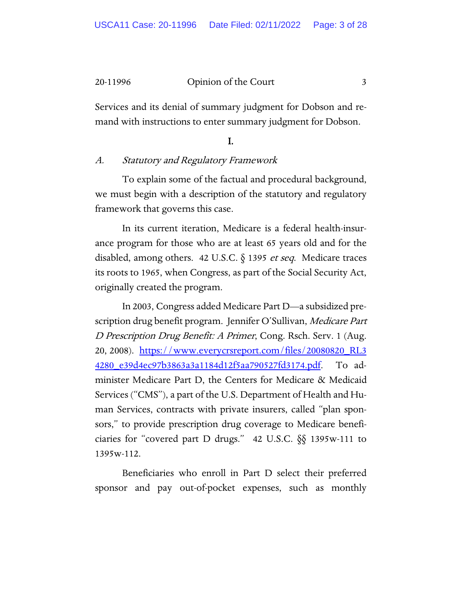Services and its denial of summary judgment for Dobson and remand with instructions to enter summary judgment for Dobson.

#### I.

#### A. Statutory and Regulatory Framework

To explain some of the factual and procedural background, we must begin with a description of the statutory and regulatory framework that governs this case.

In its current iteration, Medicare is a federal health-insurance program for those who are at least 65 years old and for the disabled, among others. 42 U.S.C.  $\delta$  1395 *et seq.* Medicare traces its roots to 1965, when Congress, as part of the Social Security Act, originally created the program.

In 2003, Congress added Medicare Part D—a subsidized prescription drug benefit program. Jennifer O'Sullivan, Medicare Part D Prescription Drug Benefit: A Primer, Cong. Rsch. Serv. 1 (Aug. 20, 2008). [https://www.everycrsreport.com/files/20080820\\_RL3](https://www.everycrsreport.com/files/20080820_RL34280_e39d4ec97b3863a3a1184d12f5aa790527fd3174.pdf) [4280\\_e39d4ec97b3863a3a1184d12f5aa790527fd3174.pdf.](https://www.everycrsreport.com/files/20080820_RL34280_e39d4ec97b3863a3a1184d12f5aa790527fd3174.pdf) To administer Medicare Part D, the Centers for Medicare & Medicaid Services ("CMS"), a part of the U.S. Department of Health and Human Services, contracts with private insurers, called "plan sponsors," to provide prescription drug coverage to Medicare beneficiaries for "covered part D drugs." 42 U.S.C. §§ 1395w-111 to 1395w-112.

Beneficiaries who enroll in Part D select their preferred sponsor and pay out-of-pocket expenses, such as monthly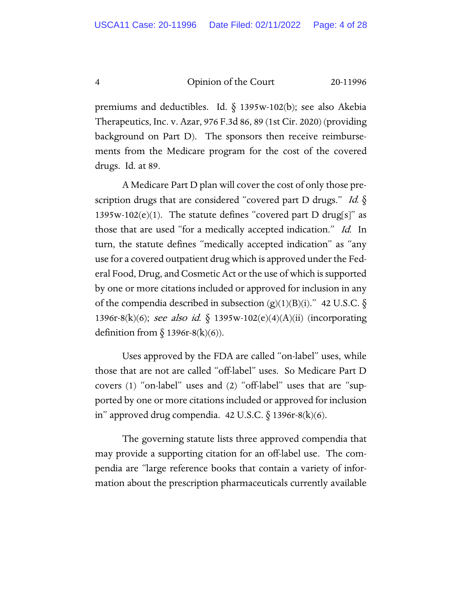premiums and deductibles. Id.  $\S$  1395w-102(b); see also Akebia Therapeutics, Inc. v. Azar, 976 F.3d 86, 89 (1st Cir. 2020) (providing background on Part D). The sponsors then receive reimbursements from the Medicare program for the cost of the covered drugs. Id. at 89.

A Medicare Part D plan will cover the cost of only those prescription drugs that are considered "covered part D drugs." Id.  $\S$ 1395w-102(e)(1). The statute defines "covered part D drug[s]" as those that are used "for a medically accepted indication." Id. In turn, the statute defines "medically accepted indication" as "any use for a covered outpatient drug which is approved under the Federal Food, Drug, and Cosmetic Act or the use of which is supported by one or more citations included or approved for inclusion in any of the compendia described in subsection  $(g)(1)(B)(i)$ ." 42 U.S.C. § 1396r-8(k)(6); see also id. § 1395w-102(e)(4)(A)(ii) (incorporating definition from  $\S$  1396r-8(k)(6)).

Uses approved by the FDA are called "on-label" uses, while those that are not are called "off-label" uses. So Medicare Part D covers (1) "on-label" uses and (2) "off-label" uses that are "supported by one or more citations included or approved for inclusion in" approved drug compendia. 42 U.S.C.  $\S$  1396r-8(k)(6).

The governing statute lists three approved compendia that may provide a supporting citation for an off-label use. The compendia are "large reference books that contain a variety of information about the prescription pharmaceuticals currently available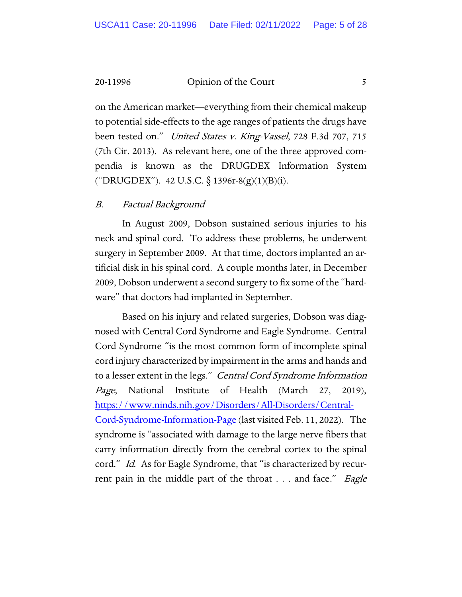on the American market—everything from their chemical makeup to potential side-effects to the age ranges of patients the drugs have been tested on." United States v. King-Vassel, 728 F.3d 707, 715 (7th Cir. 2013). As relevant here, one of the three approved compendia is known as the DRUGDEX Information System ("DRUGDEX"). 42 U.S.C.  $\S$  1396r-8(g)(1)(B)(i).

#### B. Factual Background

In August 2009, Dobson sustained serious injuries to his neck and spinal cord. To address these problems, he underwent surgery in September 2009. At that time, doctors implanted an artificial disk in his spinal cord. A couple months later, in December 2009, Dobson underwent a second surgery to fix some of the "hardware" that doctors had implanted in September.

Based on his injury and related surgeries, Dobson was diagnosed with Central Cord Syndrome and Eagle Syndrome. Central Cord Syndrome "is the most common form of incomplete spinal cord injury characterized by impairment in the arms and hands and to a lesser extent in the legs." Central Cord Syndrome Information Page, National Institute of Health (March 27, 2019), [https://www.ninds.nih.gov/Disorders/All-Disorders/Central-](https://www.ninds.nih.gov/Disorders/All-Disorders/Central-Cord-Syndrome-Information-Page)[Cord-Syndrome-Information-Page](https://www.ninds.nih.gov/Disorders/All-Disorders/Central-Cord-Syndrome-Information-Page) (last visited Feb. 11, 2022). The syndrome is "associated with damage to the large nerve fibers that carry information directly from the cerebral cortex to the spinal cord." *Id.* As for Eagle Syndrome, that "is characterized by recurrent pain in the middle part of the throat . . . and face." *Eagle*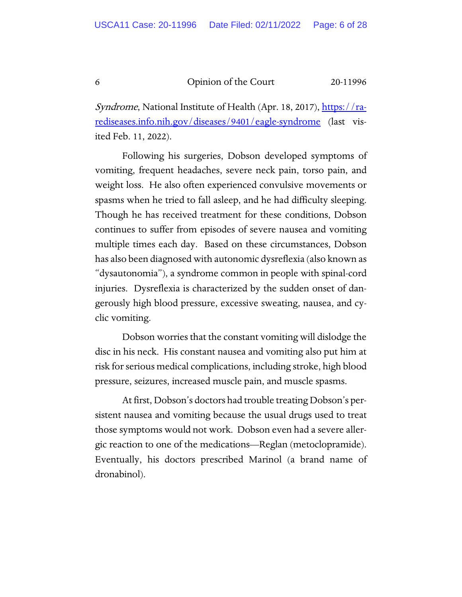Syndrome, National Institute of Health (Apr. 18, 2017), [https://ra](https://rarediseases.info.nih.gov/diseases/9401/eagle-syndrome)[rediseases.info.nih.gov/diseases/9401/eagle-syndrome](https://rarediseases.info.nih.gov/diseases/9401/eagle-syndrome) (last visited Feb. 11, 2022).

Following his surgeries, Dobson developed symptoms of vomiting, frequent headaches, severe neck pain, torso pain, and weight loss. He also often experienced convulsive movements or spasms when he tried to fall asleep, and he had difficulty sleeping. Though he has received treatment for these conditions, Dobson continues to suffer from episodes of severe nausea and vomiting multiple times each day. Based on these circumstances, Dobson has also been diagnosed with autonomic dysreflexia (also known as "dysautonomia"), a syndrome common in people with spinal-cord injuries. Dysreflexia is characterized by the sudden onset of dangerously high blood pressure, excessive sweating, nausea, and cyclic vomiting.

Dobson worries that the constant vomiting will dislodge the disc in his neck. His constant nausea and vomiting also put him at risk for serious medical complications, including stroke, high blood pressure, seizures, increased muscle pain, and muscle spasms.

At first, Dobson's doctors had trouble treating Dobson's persistent nausea and vomiting because the usual drugs used to treat those symptoms would not work. Dobson even had a severe allergic reaction to one of the medications—Reglan (metoclopramide). Eventually, his doctors prescribed Marinol (a brand name of dronabinol).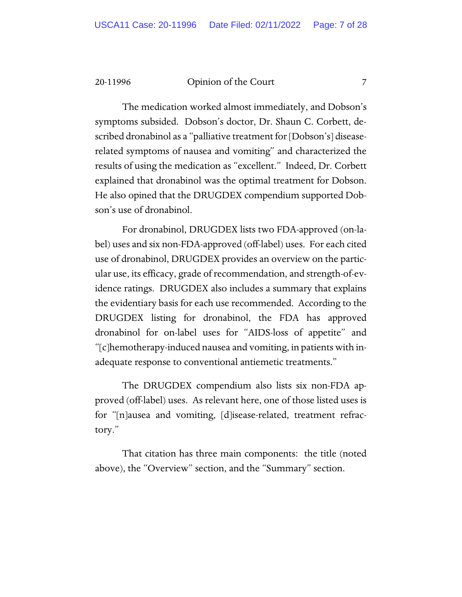The medication worked almost immediately, and Dobson's symptoms subsided. Dobson's doctor, Dr. Shaun C. Corbett, described dronabinol as a "palliative treatment for [Dobson's] diseaserelated symptoms of nausea and vomiting" and characterized the results of using the medication as "excellent." Indeed, Dr. Corbett explained that dronabinol was the optimal treatment for Dobson. He also opined that the DRUGDEX compendium supported Dobson's use of dronabinol.

For dronabinol, DRUGDEX lists two FDA-approved (on-label) uses and six non-FDA-approved (off-label) uses. For each cited use of dronabinol, DRUGDEX provides an overview on the particular use, its efficacy, grade of recommendation, and strength-of-evidence ratings. DRUGDEX also includes a summary that explains the evidentiary basis for each use recommended. According to the DRUGDEX listing for dronabinol, the FDA has approved dronabinol for on-label uses for "AIDS-loss of appetite" and "[c]hemotherapy-induced nausea and vomiting, in patients with inadequate response to conventional antiemetic treatments."

The DRUGDEX compendium also lists six non-FDA approved (off-label) uses. As relevant here, one of those listed uses is for "[n]ausea and vomiting, [d]isease-related, treatment refractory."

That citation has three main components: the title (noted above), the "Overview" section, and the "Summary" section.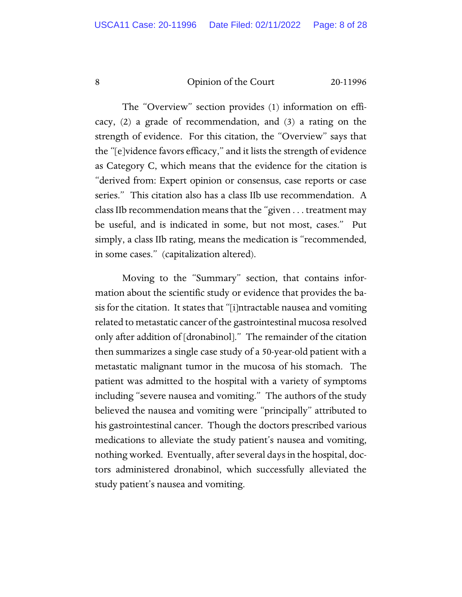The "Overview" section provides (1) information on efficacy, (2) a grade of recommendation, and (3) a rating on the strength of evidence. For this citation, the "Overview" says that the "[e]vidence favors efficacy," and it lists the strength of evidence as Category C, which means that the evidence for the citation is "derived from: Expert opinion or consensus, case reports or case series." This citation also has a class IIb use recommendation. A class IIb recommendation means that the "given . . . treatment may be useful, and is indicated in some, but not most, cases." Put simply, a class IIb rating, means the medication is "recommended, in some cases." (capitalization altered).

Moving to the "Summary" section, that contains information about the scientific study or evidence that provides the basis for the citation. It states that "[i]ntractable nausea and vomiting related to metastatic cancer of the gastrointestinal mucosa resolved only after addition of [dronabinol]." The remainder of the citation then summarizes a single case study of a 50-year-old patient with a metastatic malignant tumor in the mucosa of his stomach. The patient was admitted to the hospital with a variety of symptoms including "severe nausea and vomiting." The authors of the study believed the nausea and vomiting were "principally" attributed to his gastrointestinal cancer. Though the doctors prescribed various medications to alleviate the study patient's nausea and vomiting, nothing worked. Eventually, after several days in the hospital, doctors administered dronabinol, which successfully alleviated the study patient's nausea and vomiting.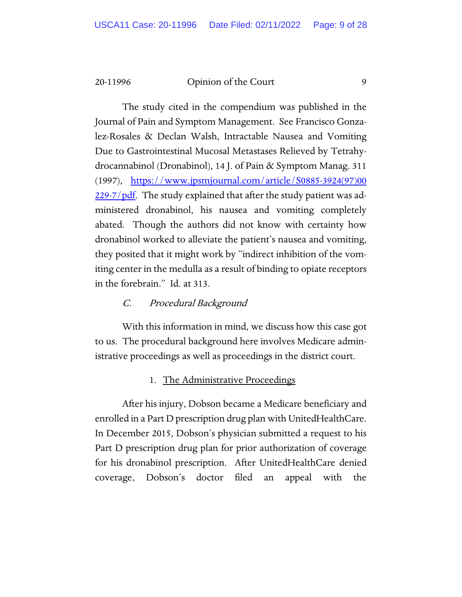The study cited in the compendium was published in the Journal of Pain and Symptom Management. See Francisco Gonzalez-Rosales & Declan Walsh, Intractable Nausea and Vomiting Due to Gastrointestinal Mucosal Metastases Relieved by Tetrahydrocannabinol (Dronabinol), 14 J. of Pain & Symptom Manag. 311 (1997), [https://www.jpsmjournal.com/article/S0885-3924\(97\)00](https://www.jpsmjournal.com/article/S0885-3924(97)%E2%80%8C00229-7/pdf) [229-7/pdf.](https://www.jpsmjournal.com/article/S0885-3924(97)%E2%80%8C00229-7/pdf) The study explained that after the study patient was administered dronabinol, his nausea and vomiting completely abated. Though the authors did not know with certainty how dronabinol worked to alleviate the patient's nausea and vomiting, they posited that it might work by "indirect inhibition of the vomiting center in the medulla as a result of binding to opiate receptors in the forebrain." Id. at 313.

#### C. Procedural Background

With this information in mind, we discuss how this case got to us. The procedural background here involves Medicare administrative proceedings as well as proceedings in the district court.

#### 1. The Administrative Proceedings

After his injury, Dobson became a Medicare beneficiary and enrolled in a Part D prescription drug plan with UnitedHealthCare. In December 2015, Dobson's physician submitted a request to his Part D prescription drug plan for prior authorization of coverage for his dronabinol prescription. After UnitedHealthCare denied coverage, Dobson's doctor filed an appeal with the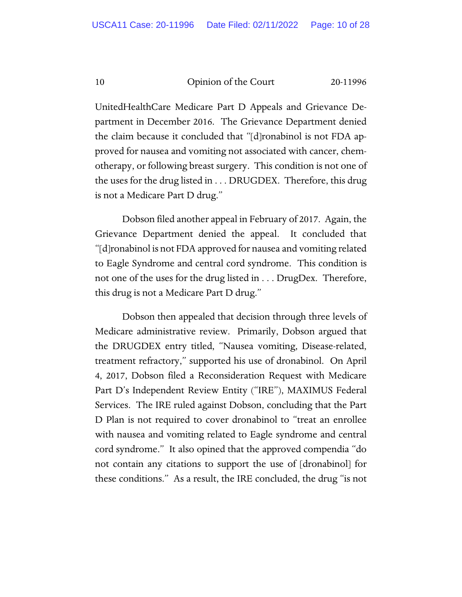UnitedHealthCare Medicare Part D Appeals and Grievance Department in December 2016. The Grievance Department denied the claim because it concluded that "[d]ronabinol is not FDA approved for nausea and vomiting not associated with cancer, chemotherapy, or following breast surgery. This condition is not one of the uses for the drug listed in . . . DRUGDEX. Therefore, this drug is not a Medicare Part D drug."

Dobson filed another appeal in February of 2017. Again, the Grievance Department denied the appeal. It concluded that "[d]ronabinol is not FDA approved for nausea and vomiting related to Eagle Syndrome and central cord syndrome. This condition is not one of the uses for the drug listed in . . . DrugDex. Therefore, this drug is not a Medicare Part D drug."

Dobson then appealed that decision through three levels of Medicare administrative review. Primarily, Dobson argued that the DRUGDEX entry titled, "Nausea vomiting, Disease-related, treatment refractory," supported his use of dronabinol. On April 4, 2017, Dobson filed a Reconsideration Request with Medicare Part D's Independent Review Entity ("IRE"), MAXIMUS Federal Services. The IRE ruled against Dobson, concluding that the Part D Plan is not required to cover dronabinol to "treat an enrollee with nausea and vomiting related to Eagle syndrome and central cord syndrome." It also opined that the approved compendia "do not contain any citations to support the use of [dronabinol] for these conditions." As a result, the IRE concluded, the drug "is not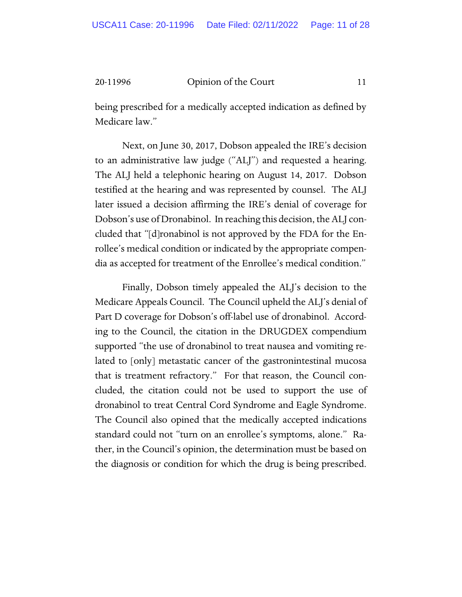being prescribed for a medically accepted indication as defined by Medicare law."

Next, on June 30, 2017, Dobson appealed the IRE's decision to an administrative law judge ("ALJ") and requested a hearing. The ALJ held a telephonic hearing on August 14, 2017. Dobson testified at the hearing and was represented by counsel. The ALJ later issued a decision affirming the IRE's denial of coverage for Dobson's use of Dronabinol. In reaching this decision, the ALJ concluded that "[d]ronabinol is not approved by the FDA for the Enrollee's medical condition or indicated by the appropriate compendia as accepted for treatment of the Enrollee's medical condition."

Finally, Dobson timely appealed the ALJ's decision to the Medicare Appeals Council. The Council upheld the ALJ's denial of Part D coverage for Dobson's off-label use of dronabinol. According to the Council, the citation in the DRUGDEX compendium supported "the use of dronabinol to treat nausea and vomiting related to [only] metastatic cancer of the gastronintestinal mucosa that is treatment refractory." For that reason, the Council concluded, the citation could not be used to support the use of dronabinol to treat Central Cord Syndrome and Eagle Syndrome. The Council also opined that the medically accepted indications standard could not "turn on an enrollee's symptoms, alone." Rather, in the Council's opinion, the determination must be based on the diagnosis or condition for which the drug is being prescribed.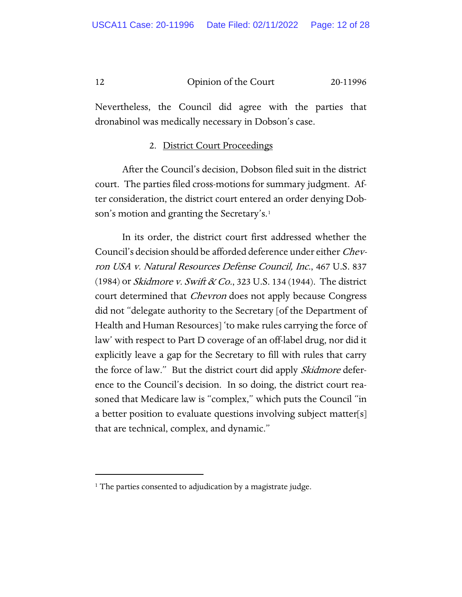Nevertheless, the Council did agree with the parties that dronabinol was medically necessary in Dobson's case.

#### 2. District Court Proceedings

After the Council's decision, Dobson filed suit in the district court. The parties filed cross-motions for summary judgment. After consideration, the district court entered an order denying Dobson's motion and granting the Secretary's.<sup>1</sup>

In its order, the district court first addressed whether the Council's decision should be afforded deference under either *Chev*ron USA v. Natural Resources Defense Council, Inc., 467 U.S. 837 (1984) or *Skidmore v. Swift & Co.*, 323 U.S. 134 (1944). The district court determined that *Chevron* does not apply because Congress did not "delegate authority to the Secretary [of the Department of Health and Human Resources] 'to make rules carrying the force of law' with respect to Part D coverage of an off-label drug, nor did it explicitly leave a gap for the Secretary to fill with rules that carry the force of law." But the district court did apply *Skidmore* deference to the Council's decision. In so doing, the district court reasoned that Medicare law is "complex," which puts the Council "in a better position to evaluate questions involving subject matter[s] that are technical, complex, and dynamic."

<span id="page-11-0"></span><sup>&</sup>lt;sup>1</sup> The parties consented to adjudication by a magistrate judge.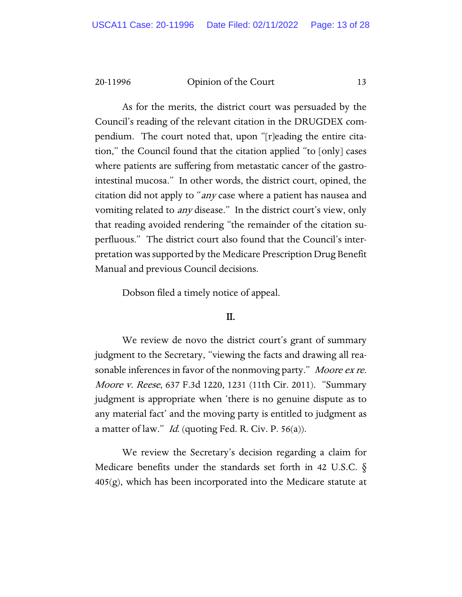As for the merits, the district court was persuaded by the Council's reading of the relevant citation in the DRUGDEX compendium. The court noted that, upon "[r]eading the entire citation," the Council found that the citation applied "to [only] cases where patients are suffering from metastatic cancer of the gastrointestinal mucosa." In other words, the district court, opined, the citation did not apply to "any case where a patient has nausea and vomiting related to any disease." In the district court's view, only that reading avoided rendering "the remainder of the citation superfluous." The district court also found that the Council's interpretation was supported by the Medicare Prescription Drug Benefit Manual and previous Council decisions.

Dobson filed a timely notice of appeal.

#### II.

We review de novo the district court's grant of summary judgment to the Secretary, "viewing the facts and drawing all reasonable inferences in favor of the nonmoving party." Moore ex re. Moore v. Reese, 637 F.3d 1220, 1231 (11th Cir. 2011). "Summary judgment is appropriate when 'there is no genuine dispute as to any material fact' and the moving party is entitled to judgment as a matter of law." *Id.* (quoting Fed. R. Civ. P. 56(a)).

We review the Secretary's decision regarding a claim for Medicare benefits under the standards set forth in 42 U.S.C. §  $405(g)$ , which has been incorporated into the Medicare statute at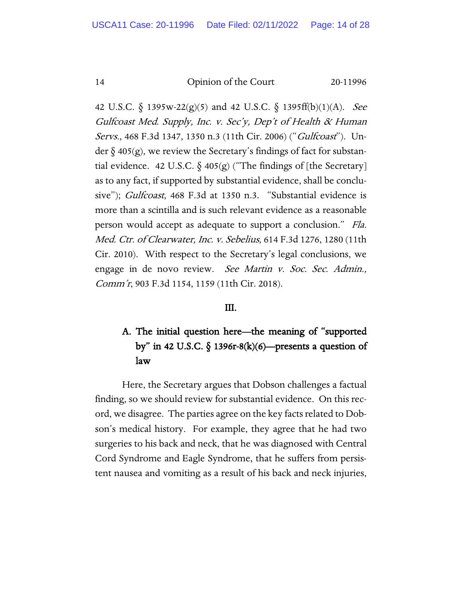42 U.S.C. § 1395w-22(g)(5) and 42 U.S.C. § 1395ff(b)(1)(A). See Gulfcoast Med. Supply, Inc. v. Sec'y, Dep't of Health & Human Servs., 468 F.3d 1347, 1350 n.3 (11th Cir. 2006) ("Gulfcoast"). Under  $\S$  405(g), we review the Secretary's findings of fact for substantial evidence. 42 U.S.C.  $\delta$  405(g) ("The findings of [the Secretary] as to any fact, if supported by substantial evidence, shall be conclusive"); *Gulfcoast*, 468 F.3d at 1350 n.3. "Substantial evidence is more than a scintilla and is such relevant evidence as a reasonable person would accept as adequate to support a conclusion." Fla. Med. Ctr. of Clearwater, Inc. v. Sebelius, 614 F.3d 1276, 1280 (11th Cir. 2010). With respect to the Secretary's legal conclusions, we engage in de novo review. See Martin v. Soc. Sec. Admin., Comm'r, 903 F.3d 1154, 1159 (11th Cir. 2018).

#### III.

### A. The initial question here—the meaning of "supported by" in 42 U.S.C.  $\S$  1396r-8(k)(6)—presents a question of law

Here, the Secretary argues that Dobson challenges a factual finding, so we should review for substantial evidence. On this record, we disagree. The parties agree on the key facts related to Dobson's medical history. For example, they agree that he had two surgeries to his back and neck, that he was diagnosed with Central Cord Syndrome and Eagle Syndrome, that he suffers from persistent nausea and vomiting as a result of his back and neck injuries,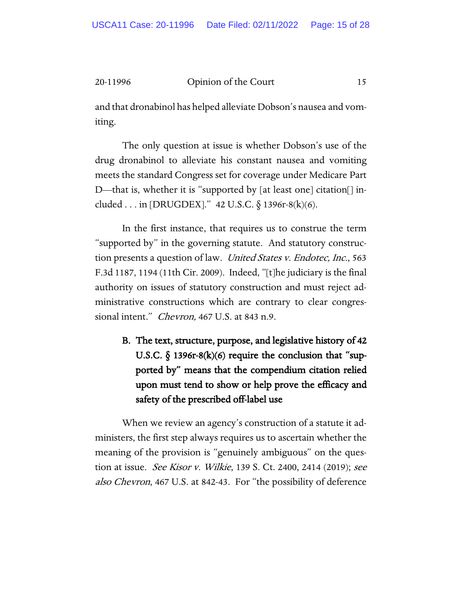and that dronabinol has helped alleviate Dobson's nausea and vomiting.

The only question at issue is whether Dobson's use of the drug dronabinol to alleviate his constant nausea and vomiting meets the standard Congress set for coverage under Medicare Part D—that is, whether it is "supported by [at least one] citation[] included . . . in [DRUGDEX]." 42 U.S.C.  $\S$  1396r-8(k)(6).

In the first instance, that requires us to construe the term "supported by" in the governing statute. And statutory construction presents a question of law. United States v. Endotec, Inc., 563 F.3d 1187, 1194 (11th Cir. 2009). Indeed, "[t]he judiciary is the final authority on issues of statutory construction and must reject administrative constructions which are contrary to clear congressional intent." *Chevron*, 467 U.S. at 843 n.9.

B. The text, structure, purpose, and legislative history of 42 U.S.C.  $\S$  1396r-8(k)(6) require the conclusion that "supported by" means that the compendium citation relied upon must tend to show or help prove the efficacy and safety of the prescribed off-label use

When we review an agency's construction of a statute it administers, the first step always requires us to ascertain whether the meaning of the provision is "genuinely ambiguous" on the question at issue. See Kisor v. Wilkie, 139 S. Ct. 2400, 2414 (2019); see also Chevron, 467 U.S. at 842-43. For "the possibility of deference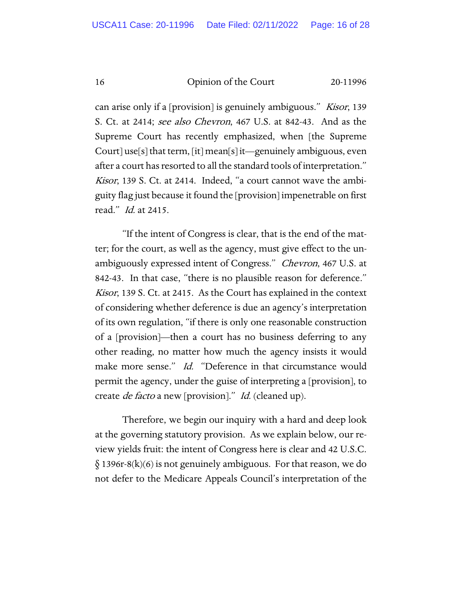can arise only if a [provision] is genuinely ambiguous." Kisor, 139 S. Ct. at 2414; *see also Chevron*, 467 U.S. at 842-43. And as the Supreme Court has recently emphasized, when [the Supreme Court] use[s] that term, [it] mean[s] it—genuinely ambiguous, even after a court has resorted to all the standard tools of interpretation." Kisor, 139 S. Ct. at 2414. Indeed, "a court cannot wave the ambiguity flag just because it found the [provision] impenetrable on first read." Id. at 2415.

"If the intent of Congress is clear, that is the end of the matter; for the court, as well as the agency, must give effect to the unambiguously expressed intent of Congress." Chevron, 467 U.S. at 842-43. In that case, "there is no plausible reason for deference." Kisor, 139 S. Ct. at 2415. As the Court has explained in the context of considering whether deference is due an agency's interpretation of its own regulation, "if there is only one reasonable construction of a [provision]—then a court has no business deferring to any other reading, no matter how much the agency insists it would make more sense." Id. "Deference in that circumstance would permit the agency, under the guise of interpreting a [provision], to create *de facto* a new [provision]." *Id.* (cleaned up).

Therefore, we begin our inquiry with a hard and deep look at the governing statutory provision. As we explain below, our review yields fruit: the intent of Congress here is clear and 42 U.S.C.  $\S$  1396r-8(k)(6) is not genuinely ambiguous. For that reason, we do not defer to the Medicare Appeals Council's interpretation of the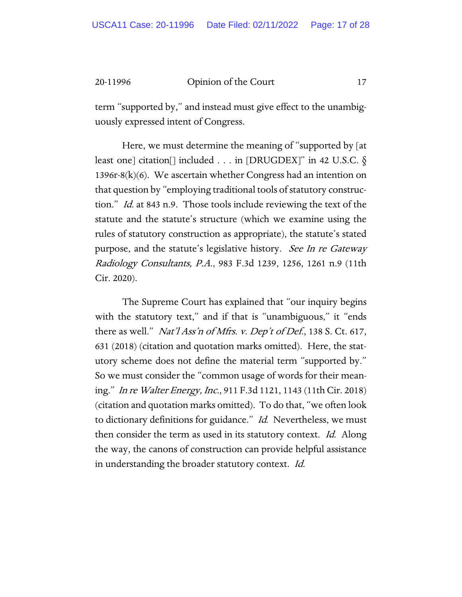term "supported by," and instead must give effect to the unambiguously expressed intent of Congress.

Here, we must determine the meaning of "supported by [at least one] citation[] included . . . in [DRUGDEX]" in 42 U.S.C. § 1396r-8(k)(6). We ascertain whether Congress had an intention on that question by "employing traditional tools of statutory construction." Id. at 843 n.9. Those tools include reviewing the text of the statute and the statute's structure (which we examine using the rules of statutory construction as appropriate), the statute's stated purpose, and the statute's legislative history. See In re Gateway Radiology Consultants, P.A., 983 F.3d 1239, 1256, 1261 n.9 (11th Cir. 2020).

The Supreme Court has explained that "our inquiry begins with the statutory text," and if that is "unambiguous," it "ends there as well." *Nat'l Ass'n of Mfrs. v. Dep't of Def.*, 138 S. Ct. 617, 631 (2018) (citation and quotation marks omitted). Here, the statutory scheme does not define the material term "supported by." So we must consider the "common usage of words for their meaning." In re Walter Energy, Inc., 911 F.3d 1121, 1143 (11th Cir. 2018) (citation and quotation marks omitted). To do that, "we often look to dictionary definitions for guidance." Id. Nevertheless, we must then consider the term as used in its statutory context. Id. Along the way, the canons of construction can provide helpful assistance in understanding the broader statutory context. Id.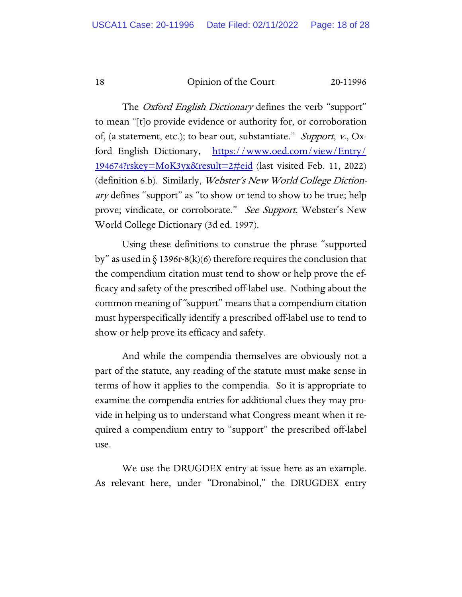The *Oxford English Dictionary* defines the verb "support" to mean "[t]o provide evidence or authority for, or corroboration of, (a statement, etc.); to bear out, substantiate." Support, v., Oxford English Dictionary, [https://www.oed.com/view/Entry/](https://www.oed.com/view/Entry/194674?rskey=MoK3yx&result=2#eid) [194674?rskey=MoK3yx&result=2#eid](https://www.oed.com/view/Entry/194674?rskey=MoK3yx&result=2#eid) (last visited Feb. 11, 2022) (definition 6.b). Similarly, Webster's New World College Dictionary defines "support" as "to show or tend to show to be true; help prove; vindicate, or corroborate." See Support, Webster's New World College Dictionary (3d ed. 1997).

Using these definitions to construe the phrase "supported by" as used in  $\S$  1396r-8(k)(6) therefore requires the conclusion that the compendium citation must tend to show or help prove the efficacy and safety of the prescribed off-label use. Nothing about the common meaning of "support" means that a compendium citation must hyperspecifically identify a prescribed off-label use to tend to show or help prove its efficacy and safety.

And while the compendia themselves are obviously not a part of the statute, any reading of the statute must make sense in terms of how it applies to the compendia. So it is appropriate to examine the compendia entries for additional clues they may provide in helping us to understand what Congress meant when it required a compendium entry to "support" the prescribed off-label use.

We use the DRUGDEX entry at issue here as an example. As relevant here, under "Dronabinol," the DRUGDEX entry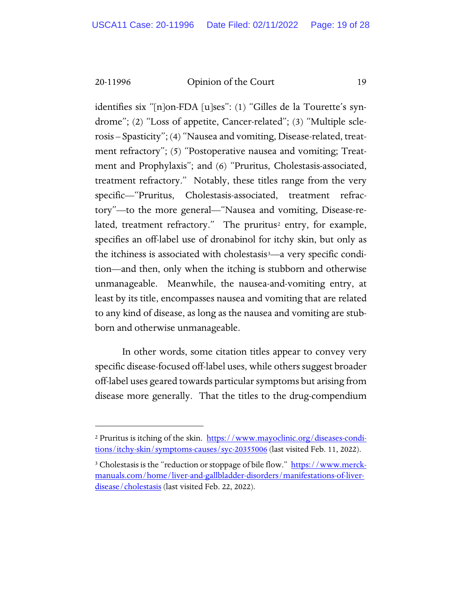identifies six "[n]on-FDA [u]ses": (1) "Gilles de la Tourette's syndrome"; (2) "Loss of appetite, Cancer-related"; (3) "Multiple sclerosis – Spasticity"; (4) "Nausea and vomiting, Disease-related, treatment refractory"; (5) "Postoperative nausea and vomiting; Treatment and Prophylaxis"; and (6) "Pruritus, Cholestasis-associated, treatment refractory." Notably, these titles range from the very specific—"Pruritus, Cholestasis-associated, treatment refractory"—to the more general—"Nausea and vomiting, Disease-re-lated, treatment refractory." The pruritus<sup>[2](#page-18-0)</sup> entry, for example, specifies an off-label use of dronabinol for itchy skin, but only as the itchiness is associated with cholestasis<sup>3</sup>—a very specific condition—and then, only when the itching is stubborn and otherwise unmanageable. Meanwhile, the nausea-and-vomiting entry, at least by its title, encompasses nausea and vomiting that are related to any kind of disease, as long as the nausea and vomiting are stubborn and otherwise unmanageable.

In other words, some citation titles appear to convey very specific disease-focused off-label uses, while others suggest broader off-label uses geared towards particular symptoms but arising from disease more generally. That the titles to the drug-compendium

<span id="page-18-0"></span><sup>&</sup>lt;sup>2</sup> Pruritus is itching of the skin. [https://www.mayoclinic.org/diseases-condi](https://www.mayoclinic.org/diseases-conditions/itchy-skin/symptoms-causes/syc-20355006)[tions/itchy-skin/symptoms-causes/syc-20355006](https://www.mayoclinic.org/diseases-conditions/itchy-skin/symptoms-causes/syc-20355006) (last visited Feb. 11, 2022).

<span id="page-18-1"></span><sup>&</sup>lt;sup>3</sup> Cholestasis is the "reduction or stoppage of bile flow." [https://www.merck](https://www.merckmanuals.com/home/liver-and-gallbladder-disorders/manifestations-of-liver-disease/cholestasis)[manuals.com/home/liver-and-gallbladder-disorders/manifestations-of-liver](https://www.merckmanuals.com/home/liver-and-gallbladder-disorders/manifestations-of-liver-disease/cholestasis)[disease/cholestasis](https://www.merckmanuals.com/home/liver-and-gallbladder-disorders/manifestations-of-liver-disease/cholestasis) (last visited Feb. 22, 2022).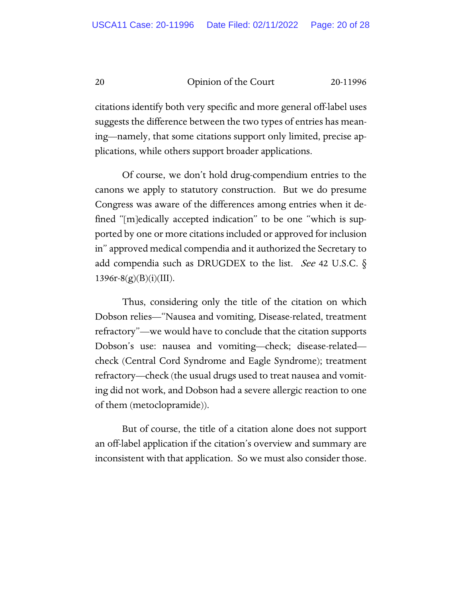citations identify both very specific and more general off-label uses suggests the difference between the two types of entries has meaning—namely, that some citations support only limited, precise applications, while others support broader applications.

Of course, we don't hold drug-compendium entries to the canons we apply to statutory construction. But we do presume Congress was aware of the differences among entries when it defined "[m]edically accepted indication" to be one "which is supported by one or more citations included or approved for inclusion in" approved medical compendia and it authorized the Secretary to add compendia such as DRUGDEX to the list. *See* 42 U.S.C.  $\S$  $1396r-8(g)(B)(i)(III)$ .

Thus, considering only the title of the citation on which Dobson relies—"Nausea and vomiting, Disease-related, treatment refractory"—we would have to conclude that the citation supports Dobson's use: nausea and vomiting—check; disease-related check (Central Cord Syndrome and Eagle Syndrome); treatment refractory—check (the usual drugs used to treat nausea and vomiting did not work, and Dobson had a severe allergic reaction to one of them (metoclopramide)).

But of course, the title of a citation alone does not support an off-label application if the citation's overview and summary are inconsistent with that application. So we must also consider those.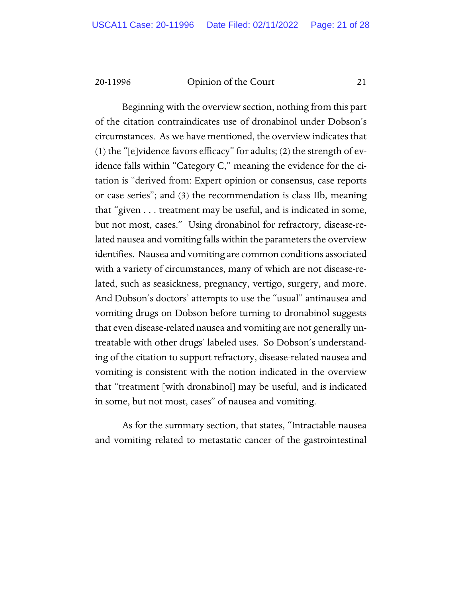Beginning with the overview section, nothing from this part of the citation contraindicates use of dronabinol under Dobson's circumstances. As we have mentioned, the overview indicates that (1) the "[e]vidence favors efficacy" for adults; (2) the strength of evidence falls within "Category C," meaning the evidence for the citation is "derived from: Expert opinion or consensus, case reports or case series"; and (3) the recommendation is class IIb, meaning that "given . . . treatment may be useful, and is indicated in some, but not most, cases." Using dronabinol for refractory, disease-related nausea and vomiting falls within the parameters the overview identifies. Nausea and vomiting are common conditions associated with a variety of circumstances, many of which are not disease-related, such as seasickness, pregnancy, vertigo, surgery, and more. And Dobson's doctors' attempts to use the "usual" antinausea and vomiting drugs on Dobson before turning to dronabinol suggests that even disease-related nausea and vomiting are not generally untreatable with other drugs' labeled uses. So Dobson's understanding of the citation to support refractory, disease-related nausea and vomiting is consistent with the notion indicated in the overview that "treatment [with dronabinol] may be useful, and is indicated in some, but not most, cases" of nausea and vomiting.

As for the summary section, that states, "Intractable nausea and vomiting related to metastatic cancer of the gastrointestinal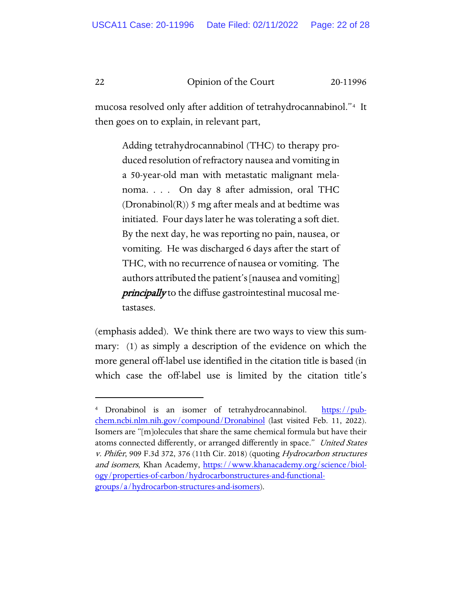mucosa resolved only after addition of tetrahydrocannabinol."[4](#page-21-0) It then goes on to explain, in relevant part,

> Adding tetrahydrocannabinol (THC) to therapy produced resolution of refractory nausea and vomiting in a 50-year-old man with metastatic malignant melanoma. . . . On day 8 after admission, oral THC  $(Dronabinol(R))$  5 mg after meals and at bedtime was initiated. Four days later he was tolerating a soft diet. By the next day, he was reporting no pain, nausea, or vomiting. He was discharged 6 days after the start of THC, with no recurrence of nausea or vomiting. The authors attributed the patient's [nausea and vomiting] principally to the diffuse gastrointestinal mucosal metastases.

(emphasis added). We think there are two ways to view this summary: (1) as simply a description of the evidence on which the more general off-label use identified in the citation title is based (in which case the off-label use is limited by the citation title's

<span id="page-21-0"></span><sup>&</sup>lt;sup>4</sup> Dronabinol is an isomer of tetrahydrocannabinol. [https://pub](https://pubchem.ncbi.nlm.nih.gov/compound/Dronabinol)[chem.ncbi.nlm.nih.gov/compound/Dronabinol](https://pubchem.ncbi.nlm.nih.gov/compound/Dronabinol) (last visited Feb. 11, 2022). Isomers are "[m]olecules that share the same chemical formula but have their atoms connected differently, or arranged differently in space." United States v. Phifer, 909 F.3d 372, 376 (11th Cir. 2018) (quoting Hydrocarbon structures and isomers, Khan Academy, [https://www.khanacademy.org/science/biol](https://www.khanacademy.org/science/biology/properties-of-carbon/hydrocarbonstructures-and-functional-groups/a/hydrocarbon-structures-and-isomers)[ogy/properties-of-carbon/hydrocarbonstructures-and-functional](https://www.khanacademy.org/science/biology/properties-of-carbon/hydrocarbonstructures-and-functional-groups/a/hydrocarbon-structures-and-isomers)[groups/a/hydrocarbon-structures-and-isomers\)](https://www.khanacademy.org/science/biology/properties-of-carbon/hydrocarbonstructures-and-functional-groups/a/hydrocarbon-structures-and-isomers).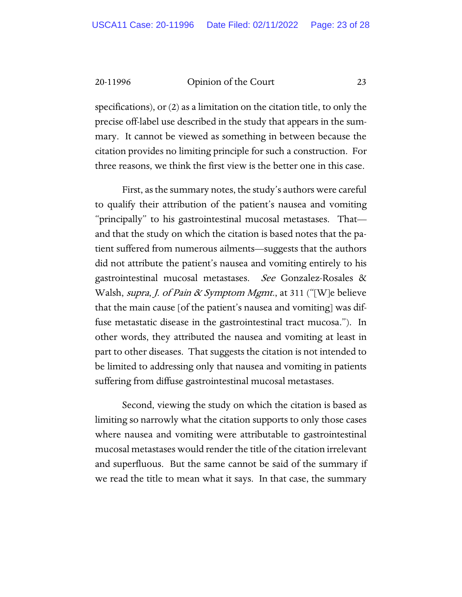specifications), or (2) as a limitation on the citation title, to only the precise off-label use described in the study that appears in the summary. It cannot be viewed as something in between because the citation provides no limiting principle for such a construction. For three reasons, we think the first view is the better one in this case.

First, as the summary notes, the study's authors were careful to qualify their attribution of the patient's nausea and vomiting "principally" to his gastrointestinal mucosal metastases. That and that the study on which the citation is based notes that the patient suffered from numerous ailments—suggests that the authors did not attribute the patient's nausea and vomiting entirely to his gastrointestinal mucosal metastases. See Gonzalez-Rosales & Walsh, *supra, J. of Pain & Symptom Mgmt.*, at 311 ("[W]e believe that the main cause [of the patient's nausea and vomiting] was diffuse metastatic disease in the gastrointestinal tract mucosa."). In other words, they attributed the nausea and vomiting at least in part to other diseases. That suggests the citation is not intended to be limited to addressing only that nausea and vomiting in patients suffering from diffuse gastrointestinal mucosal metastases.

Second, viewing the study on which the citation is based as limiting so narrowly what the citation supports to only those cases where nausea and vomiting were attributable to gastrointestinal mucosal metastases would render the title of the citation irrelevant and superfluous. But the same cannot be said of the summary if we read the title to mean what it says. In that case, the summary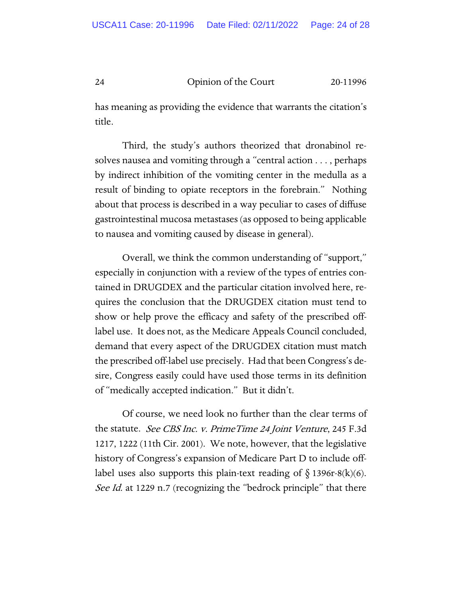has meaning as providing the evidence that warrants the citation's title.

Third, the study's authors theorized that dronabinol resolves nausea and vomiting through a "central action . . . , perhaps by indirect inhibition of the vomiting center in the medulla as a result of binding to opiate receptors in the forebrain." Nothing about that process is described in a way peculiar to cases of diffuse gastrointestinal mucosa metastases (as opposed to being applicable to nausea and vomiting caused by disease in general).

Overall, we think the common understanding of "support," especially in conjunction with a review of the types of entries contained in DRUGDEX and the particular citation involved here, requires the conclusion that the DRUGDEX citation must tend to show or help prove the efficacy and safety of the prescribed offlabel use. It does not, as the Medicare Appeals Council concluded, demand that every aspect of the DRUGDEX citation must match the prescribed off-label use precisely. Had that been Congress's desire, Congress easily could have used those terms in its definition of "medically accepted indication." But it didn't.

Of course, we need look no further than the clear terms of the statute. See CBS Inc. v. PrimeTime 24 Joint Venture, 245 F.3d 1217, 1222 (11th Cir. 2001). We note, however, that the legislative history of Congress's expansion of Medicare Part D to include offlabel uses also supports this plain-text reading of  $\S$  1396r-8(k)(6). See Id. at 1229 n.7 (recognizing the "bedrock principle" that there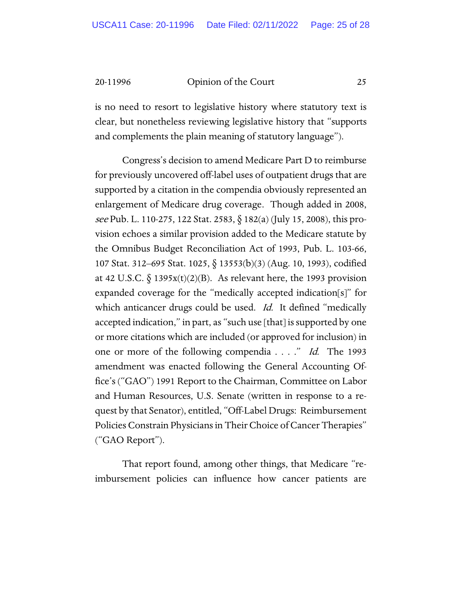is no need to resort to legislative history where statutory text is clear, but nonetheless reviewing legislative history that "supports and complements the plain meaning of statutory language").

Congress's decision to amend Medicare Part D to reimburse for previously uncovered off-label uses of outpatient drugs that are supported by a citation in the compendia obviously represented an enlargement of Medicare drug coverage. Though added in 2008, see Pub. L. 110-275, 122 Stat. 2583, § 182(a) (July 15, 2008), this provision echoes a similar provision added to the Medicare statute by the Omnibus Budget Reconciliation Act of 1993, Pub. L. 103-66, 107 Stat. 312–695 Stat. 1025, § 13553(b)(3) (Aug. 10, 1993), codified at 42 U.S.C.  $\S$  1395x(t)(2)(B). As relevant here, the 1993 provision expanded coverage for the "medically accepted indication[s]" for which anticancer drugs could be used. *Id.* It defined "medically accepted indication," in part, as "such use [that] is supported by one or more citations which are included (or approved for inclusion) in one or more of the following compendia . . . ." Id. The 1993 amendment was enacted following the General Accounting Office's ("GAO") 1991 Report to the Chairman, Committee on Labor and Human Resources, U.S. Senate (written in response to a request by that Senator), entitled, "Off-Label Drugs: Reimbursement Policies Constrain Physicians in Their Choice of Cancer Therapies" ("GAO Report").

That report found, among other things, that Medicare "reimbursement policies can influence how cancer patients are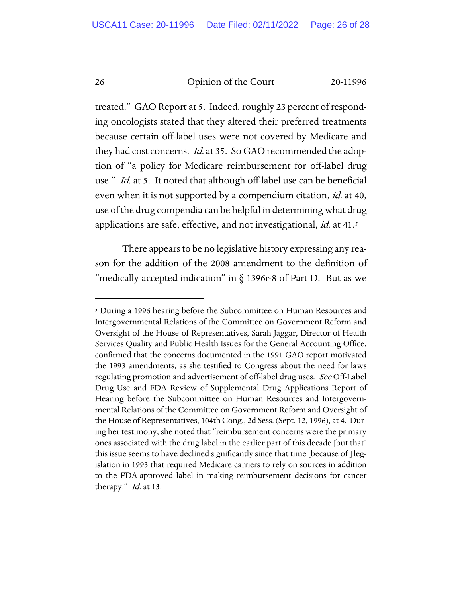treated." GAO Report at 5. Indeed, roughly 23 percent of responding oncologists stated that they altered their preferred treatments because certain off-label uses were not covered by Medicare and they had cost concerns. *Id.* at 35. So GAO recommended the adoption of "a policy for Medicare reimbursement for off-label drug use." *Id.* at 5. It noted that although off-label use can be beneficial even when it is not supported by a compendium citation, *id.* at 40, use of the drug compendia can be helpful in determining what drug applications are safe, effective, and not investigational, *id.* at 41.<sup>[5](#page-25-0)</sup>

There appears to be no legislative history expressing any reason for the addition of the 2008 amendment to the definition of "medically accepted indication" in  $\S$  1396r-8 of Part D. But as we

<span id="page-25-0"></span><sup>&</sup>lt;sup>5</sup> During a 1996 hearing before the Subcommittee on Human Resources and Intergovernmental Relations of the Committee on Government Reform and Oversight of the House of Representatives, Sarah Jaggar, Director of Health Services Quality and Public Health Issues for the General Accounting Office, confirmed that the concerns documented in the 1991 GAO report motivated the 1993 amendments, as she testified to Congress about the need for laws regulating promotion and advertisement of off-label drug uses. See Off-Label Drug Use and FDA Review of Supplemental Drug Applications Report of Hearing before the Subcommittee on Human Resources and Intergovernmental Relations of the Committee on Government Reform and Oversight of the House of Representatives, 104th Cong., 2d Sess. (Sept. 12, 1996), at 4. During her testimony, she noted that "reimbursement concerns were the primary ones associated with the drug label in the earlier part of this decade [but that] this issue seems to have declined significantly since that time [because of ] legislation in 1993 that required Medicare carriers to rely on sources in addition to the FDA-approved label in making reimbursement decisions for cancer therapy." *Id.* at 13.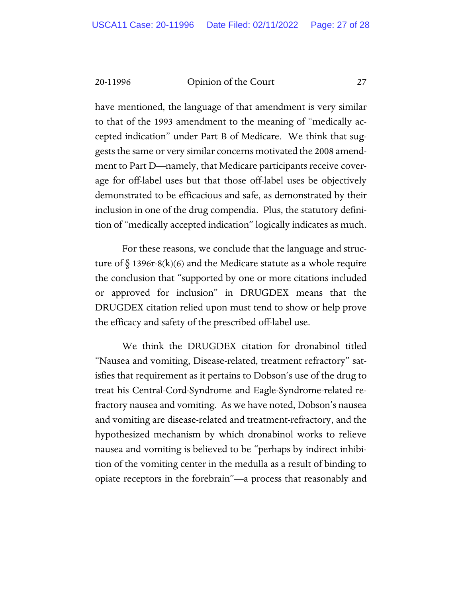have mentioned, the language of that amendment is very similar to that of the 1993 amendment to the meaning of "medically accepted indication" under Part B of Medicare. We think that suggests the same or very similar concerns motivated the 2008 amendment to Part D—namely, that Medicare participants receive coverage for off-label uses but that those off-label uses be objectively demonstrated to be efficacious and safe, as demonstrated by their inclusion in one of the drug compendia. Plus, the statutory definition of "medically accepted indication" logically indicates as much.

For these reasons, we conclude that the language and structure of  $\S$  1396r-8(k)(6) and the Medicare statute as a whole require the conclusion that "supported by one or more citations included or approved for inclusion" in DRUGDEX means that the DRUGDEX citation relied upon must tend to show or help prove the efficacy and safety of the prescribed off-label use.

We think the DRUGDEX citation for dronabinol titled "Nausea and vomiting, Disease-related, treatment refractory" satisfies that requirement as it pertains to Dobson's use of the drug to treat his Central-Cord-Syndrome and Eagle-Syndrome-related refractory nausea and vomiting. As we have noted, Dobson's nausea and vomiting are disease-related and treatment-refractory, and the hypothesized mechanism by which dronabinol works to relieve nausea and vomiting is believed to be "perhaps by indirect inhibition of the vomiting center in the medulla as a result of binding to opiate receptors in the forebrain"—a process that reasonably and